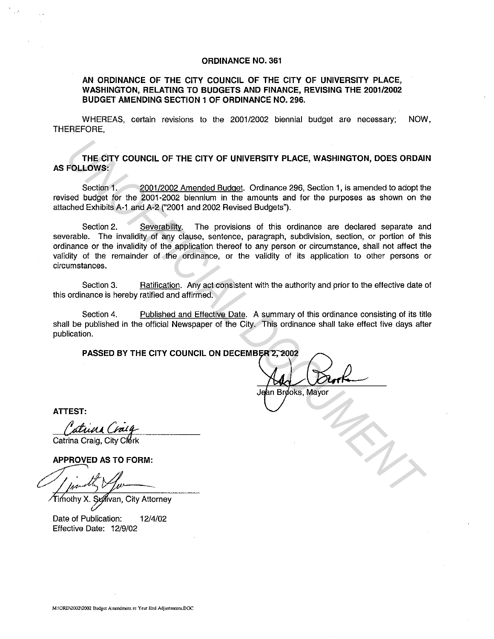## **ORDINANCE NO. 361**

## **AN ORDINANCE OF THE CITY COUNCIL OF THE CITY OF UNIVERSITY PLACE, WASHINGTON, RELATING TO BUDGETS AND FINANCE, REVISING THE 2001/2002 BUDGET AMENDING SECTION 1 OF ORDINANCE NO. 296.**

WHEREAS, certain revisions to the 2001/2002 biennial budget are necessary; NOW, THEREFORE,

**THE CITY COUNCIL OF THE CITY OF UNIVERSITY PLACE, WASHINGTON, DOES ORDAIN AS FOLLOWS:** 

Section **1.** 2001/2002 Amended Budget. Ordinance 296, Section 1, is amended to adopt the revised budget for the 2001-2002 biennium in the amounts and for the purposes as shown on the attached Exhibits A-1 and A-2 ("2001 and 2002 Revised Budgets").

Section 2. Severability. The provisions of this ordinance are declared separate and severable. The invalidity of any clause, sentence, paragraph, subdivision, section, or portion of this ordinance or the invalidity of the application thereof to any person or circumstance, shall not affect the validity of the remainder of the ordinance, or the validity of its application to other persons or circumstances. THE CITY COUNCIL OF THE CITY OF UNIVERSITY PLACE, WASHINGTON, DOES ORDAIL<br>
FOLLOWS:<br>
Section 1. <u>2001/2002 Amended Budgel</u>: Ordinance 296, Section 1, is amended to adopt the<br>
section 1. <u>2001/2002</u> bisminum in the amounts

Section 3. Ratification. Any act consistent with the authority and prior to the effective date of this ordinance is hereby ratified and affirmed.

Section 4. Published and Effective Date. A summary of this ordinance consisting of its title shall be published in the official Newspaper of the City. This ordinance shall take effect five days after publication.

**PASSED BY THE CITY COUNCIL ON DECEMBER 2, 2002** 

**ATTEST:** 

ATTEST:<br>*Catuun Craig*<br>Catrina Craig, City Clerk

Date of Publication: 12/4/02 Effective Date: 12/9/02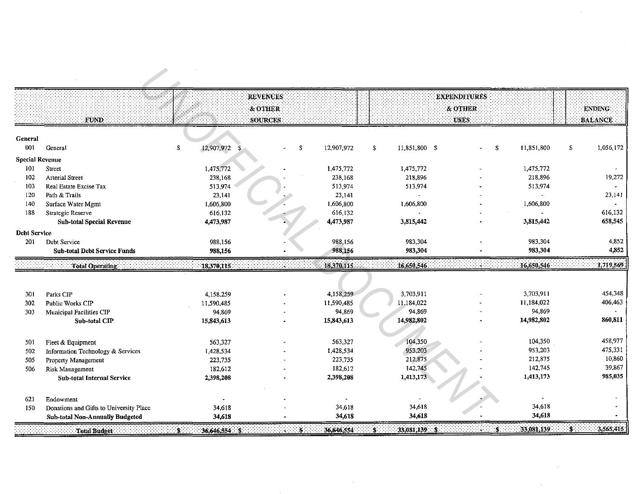|                        |                                         |                                 | <b>REVENUES</b> |                   |                                     | <b>EXPENDITURES</b> |                  |                          |
|------------------------|-----------------------------------------|---------------------------------|-----------------|-------------------|-------------------------------------|---------------------|------------------|--------------------------|
|                        |                                         |                                 | & OTHER         |                   |                                     | & OTHER             |                  | <b>ENDING</b>            |
|                        | TUND.                                   |                                 | <b>SOURCES</b>  |                   |                                     | <b>USES</b>         |                  | <b>BALANCE</b>           |
|                        |                                         |                                 |                 |                   |                                     |                     |                  |                          |
| General                |                                         |                                 |                 |                   |                                     |                     |                  |                          |
| 001                    | General                                 | $\mathbf{r}$<br>12,907,972      | \$              | 12,907,972        | 11.851,800 \$<br>$\mathbf{\hat{z}}$ |                     | 11,851,800<br>\$ | \$<br>1,056,172          |
| <b>Special Revenue</b> |                                         |                                 |                 |                   |                                     |                     |                  |                          |
| 101                    | <b>Street</b>                           | 1,475,772                       |                 | 1,475,772         | 1,475,772                           |                     | 1,475,772        |                          |
| 102                    | <b>Arterial Street</b>                  | 238,168                         |                 | 238,168           | 218,896                             |                     | 218,896          | 19,272                   |
| 103<br>120             | Real Estate Excise Tax<br>Path & Trails | 513,974<br>23,141               |                 | 513,974<br>23,141 | 513,974                             |                     | 513,974          | $\blacksquare$<br>23,141 |
| 140                    | Surface Water Mgmt                      | 1,606,800                       |                 | 1,606,800         | 1,606,800                           |                     | 1,606,800        | $\sim$                   |
| 188                    | Strategic Reserve                       | 616,132                         |                 | 616,132           |                                     |                     |                  | 616,132                  |
|                        | <b>Sub-total Special Revenue</b>        | 4,473,987                       |                 | 4,473,987         | 3,815,442                           |                     | 3,815,442        | 658,545                  |
| <b>Debt Service</b>    |                                         |                                 |                 |                   |                                     |                     |                  |                          |
| 201                    | Debt Service                            | 988,156                         |                 | 988,156           | 983,304                             |                     | 983,304          | 4,852                    |
|                        | <b>Sub-total Debt Service Funds</b>     | 988,156                         |                 | 988,156           | 983,304                             |                     | 983,304          | 4,852                    |
|                        | <b>Total Operating</b>                  | 18,370,115                      |                 | 18,370,115.       | 16,650,546                          |                     | 16,650,546       | 1,719,569                |
|                        |                                         |                                 |                 |                   |                                     |                     |                  |                          |
|                        |                                         |                                 |                 |                   |                                     |                     |                  |                          |
| 301                    | Parks CIP                               | 4,158,259                       |                 | 4,158,259         | 3,703,911                           |                     | 3,703,911        | 454,348                  |
| 302                    | Public Works CIP                        | 11,590,485                      |                 | 11,590,485        | 11,184,022                          |                     | 11,184,022       | 406,463                  |
| 303                    | Municipal Facilities CIP                | 94,869                          |                 | 94,869            | 94,869                              |                     | 94,869           |                          |
|                        | Sub-total CIP                           | 15,843,613                      |                 | 15,843,613        | 14,982,802                          |                     | 14,982,802       | 860,811                  |
|                        |                                         |                                 |                 |                   |                                     |                     |                  |                          |
| 501                    | Fleet & Equipment                       | 563,327                         |                 | 563,327           | 104,350                             |                     | 104,350          | 458,977                  |
| 502                    | Information Technology & Services       | 1,428,534                       |                 | 1.428,534         | 953,203                             |                     | 953,203          | 475,331                  |
| 505                    | Property Management                     | 223,735                         |                 | 223,735           | 212,875                             |                     | 212,875          | 10,860                   |
| 506                    | Risk Management                         | 182,612                         |                 | 182,612           | 142,745                             |                     | 142,745          | 39,867                   |
|                        | Sub-total Internal Service              | 2,398,208                       |                 | 2,398,208         | 1,413,173                           |                     | 1,413,173        | 985,035                  |
|                        |                                         |                                 |                 |                   |                                     |                     |                  |                          |
| 621                    | Endowment                               |                                 |                 |                   |                                     |                     |                  |                          |
| 150                    | Donations and Gifts to University Place | 34,618                          |                 | 34,618            | 34,618                              |                     | 34,618           |                          |
|                        | <b>Sub-total Non-Annually Budgeted</b>  | 34,618                          |                 | 34,618            | 34,618                              |                     | 34,618           |                          |
|                        | Total Budget:                           | $\mathbf{f}$<br>$36.646.554$ \$ | :s:             | 36,646,554        | $33.081,139$ \$<br>s.               |                     | 33,081,139<br>З. | 3,565,415                |